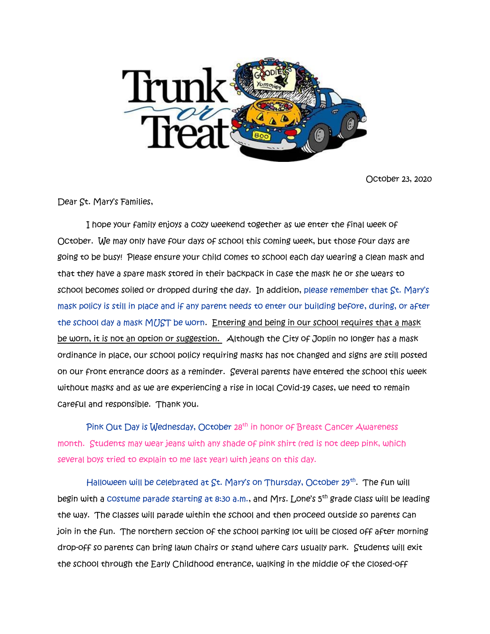

October 23, 2020

Dear St. Mary's Families,

 I hope your family enjoys a cozy weekend together as we enter the final week of October. We may only have four days of school this coming week, but those four days are going to be busy! Please ensure your child comes to school each day wearing a clean mask and that they have a spare mask stored in their backpack in case the mask he or she wears to school becomes soiled or dropped during the day. In addition, please remember that St. Mary's mask policy is still in place and if any parent needs to enter our building before, during, or after the school day a mask MUST be worn. Entering and being in our school requires that a mask be worn, it is not an option or suggestion. Although the City of Joplin no longer has a mask ordinance in place, our school policy requiring masks has not changed and signs are still posted on our front entrance doors as a reminder. Several parents have entered the school this week without masks and as we are experiencing a rise in local Covid-19 cases, we need to remain careful and responsible. Thank you.

Pink Out Day is Wednesday, October 28<sup>th</sup> in honor of Breast Cancer Awareness month. Students may wear jeans with any shade of pink shirt (red is not deep pink, which several boys tried to explain to me last year) with jeans on this day.

Halloween will be celebrated at St. Mary's on Thursday, October 29<sup>th</sup>. The fun will begin with a costume parade starting at 8:30 a.m., and Mrs. Lone's 5<sup>th</sup> grade class will be leading the way. The classes will parade within the school and then proceed outside so parents can join in the fun. The northern section of the school parking lot will be closed off after morning drop-off so parents can bring lawn chairs or stand where cars usually park. Students will exit the school through the Early Childhood entrance, walking in the middle of the closed-off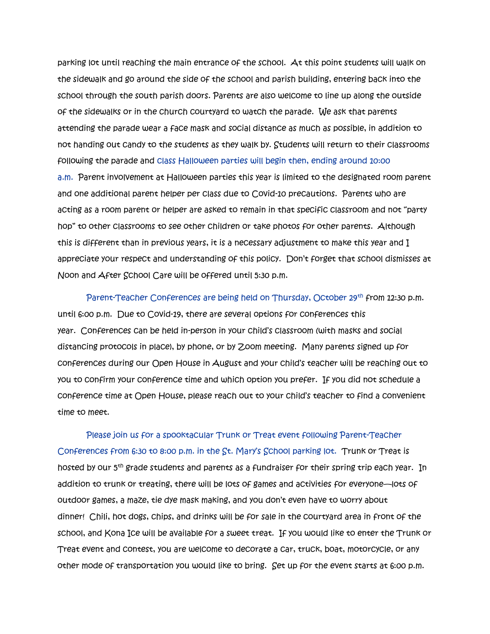parking lot until reaching the main entrance of the school. At this point students will walk on the sidewalk and go around the side of the school and parish building, entering back into the school through the south parish doors. Parents are also welcome to line up along the outside of the sidewalks or in the church courtyard to watch the parade. We ask that parents attending the parade wear a face mask and social distance as much as possible, in addition to not handing out candy to the students as they walk by. Students will return to their classrooms following the parade and class Halloween parties will begin then, ending around 10:00 a.m. Parent involvement at Halloween parties this year is limited to the designated room parent and one additional parent helper per class due to Covid-10 precautions. Parents who are acting as a room parent or helper are asked to remain in that specific classroom and not "party hop" to other classrooms to see other children or take photos for other parents. Although this is different than in previous years, it is a necessary adjustment to make this year and I appreciate your respect and understanding of this policy. Don't forget that school dismisses at Noon and After School Care will be offered until 5:30 p.m.

Parent-Teacher Conferences are being held on Thursday, October 29th from 12:30 p.m. until 6:00 p.m. Due to Covid-19, there are several options for conferences this year. Conferences can be held in-person in your child's classroom (with masks and social distancing protocols in place), by phone, or by Zoom meeting. Many parents signed up for conferences during our Open House in August and your child's teacher will be reaching out to you to confirm your conference time and which option you prefer. If you did not schedule a conference time at Open House, please reach out to your child's teacher to find a convenient time to meet.

 Please join us for a spooktacular Trunk or Treat event following Parent-Teacher Conferences from 6:30 to 8:00 p.m. in the St. Mary's School parking lot. Trunk or Treat is hosted by our 5<sup>th</sup> grade students and parents as a fundraiser for their spring trip each year. In addition to trunk or treating, there will be lots of games and activities for everyone—lots of outdoor games, a maze, tie dye mask making, and you don't even have to worry about dinner! Chili, hot dogs, chips, and drinks will be for sale in the courtyard area in front of the school, and Kona Ice will be available for a sweet treat. If you would like to enter the Trunk or Treat event and contest, you are welcome to decorate a car, truck, boat, motorcycle, or any other mode of transportation you would like to bring. Set up for the event starts at 6:00 p.m.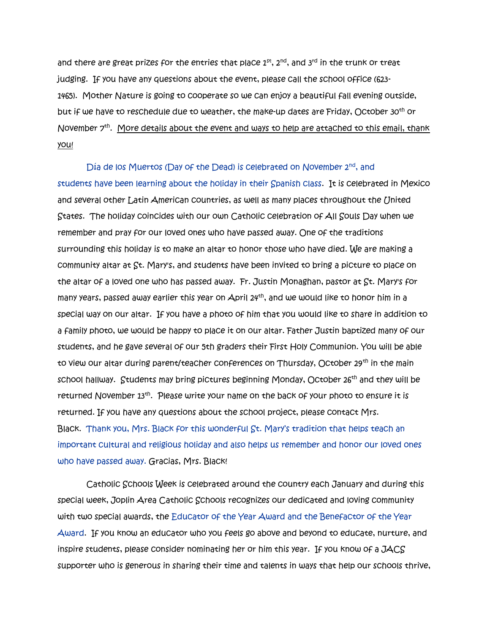and there are great prizes for the entries that place  $1^{st}$ ,  $2^{nd}$ , and  $3^{rd}$  in the trunk or treat judging. If you have any questions about the event, please call the school office (623- 1465). Mother Nature is going to cooperate so we can enjoy a beautiful fall evening outside, but if we have to reschedule due to weather, the make-up dates are Friday, October 30th or November 7<sup>th</sup>. <u>More details about the event and ways to help are attached to this email, thank</u> you!

Día de los Muertos (Day of the Dead) is celebrated on November 2<sup>nd</sup>, and students have been learning about the holiday in their Spanish class. It is celebrated in Mexico and several other Latin American countries, as well as many places throughout the United States. The holiday coincides with our own Catholic celebration of All Souls Day when we remember and pray for our loved ones who have passed away. One of the traditions surrounding this holiday is to make an altar to honor those who have died. We are making a community altar at St. Mary's, and students have been invited to bring a picture to place on the altar of a loved one who has passed away. Fr. Justin Monaghan, pastor at St. Mary's for many years, passed away earlier this year on April 24th, and we would like to honor him in a special way on our altar. If you have a photo of him that you would like to share in addition to a family photo, we would be happy to place it on our altar. Father Justin baptized many of our students, and he gave several of our 5th graders their First Holy Communion. You will be able to view our altar during parent/teacher conferences on Thursday, October 29<sup>th</sup> in the main school hallway. Students may bring pictures beginning Monday, October  $26^{th}$  and they will be returned November 13<sup>th</sup>. Please write your name on the back of your photo to ensure it is returned. If you have any questions about the school project, please contact Mrs. Black. Thank you, Mrs. Black for this wonderful St. Mary's tradition that helps teach an important cultural and religious holiday and also helps us remember and honor our loved ones who have passed away. Gracias, Mrs. Black!

Catholic Schools Week is celebrated around the country each January and during this special week, Joplin Area Catholic Schools recognizes our dedicated and loving community with two special awards, the Educator of the Year Award and the Benefactor of the Year Award. If you know an educator who you feels go above and beyond to educate, nurture, and inspire students, please consider nominating her or him this year. If you know of a JACS supporter who is generous in sharing their time and talents in ways that help our schools thrive,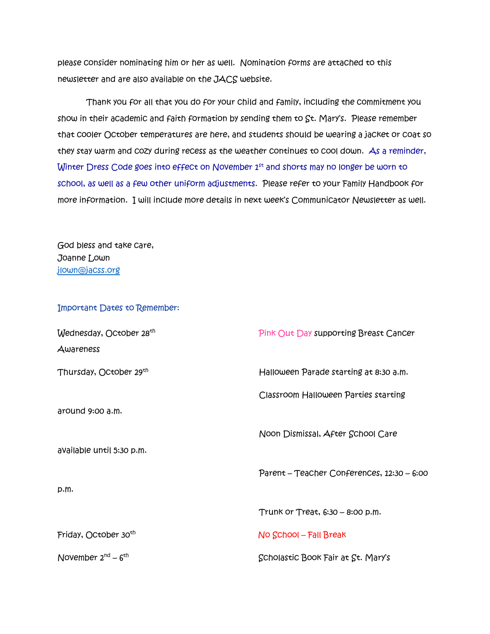please consider nominating him or her as well. Nomination forms are attached to this newsletter and are also available on the JACS website.

 Thank you for all that you do for your child and family, including the commitment you show in their academic and faith formation by sending them to St. Mary's. Please remember that cooler October temperatures are here, and students should be wearing a jacket or coat so they stay warm and cozy during recess as the weather continues to cool down. As a reminder, Winter Dress Code goes into effect on November 1st and shorts may no longer be worn to school, as well as a few other uniform adjustments. Please refer to your Family Handbook for more information. I will include more details in next week's Communicator Newsletter as well.

God bless and take care, Joanne Lown [jlown@jacss.org](mailto:jlown@jacss.org)

Important Dates to Remember:

| Wednesday, October 28 <sup>th</sup> | Pink Out Day supporting Breast Cancer      |
|-------------------------------------|--------------------------------------------|
| Awareness                           |                                            |
| Thursday, October 29th              | Halloween Parade starting at 8:30 a.m.     |
|                                     | Classroom Halloween Parties starting       |
| around 9:00 a.m.                    |                                            |
|                                     | Noon Dismissal, After School Care          |
| available until 5:30 p.m.           |                                            |
|                                     | Parent – Teacher Conferences, 12:30 – 6:00 |
| p.m.                                |                                            |
|                                     | Trunk or Treat, 6:30 - 8:00 p.m.           |
| Friday, October 30 <sup>th</sup>    | $No$ School – Fall Break                   |
| November $2^{nd} - 6^{th}$          | Scholastic Book Fair at St. Mary's         |